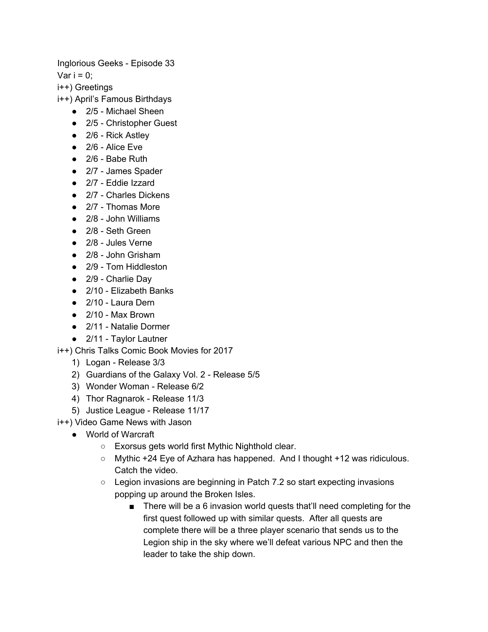Inglorious Geeks - Episode 33

Var  $i = 0$ ;

i++) Greetings

i++) April's Famous Birthdays

- 2/5 Michael Sheen
- 2/5 Christopher Guest
- 2/6 Rick Astley
- $\bullet$  2/6 Alice Eve
- 2/6 Babe Ruth
- 2/7 James Spader
- 2/7 Eddie Izzard
- 2/7 Charles Dickens
- 2/7 Thomas More
- 2/8 John Williams
- 2/8 Seth Green
- 2/8 Jules Verne
- 2/8 John Grisham
- 2/9 Tom Hiddleston
- 2/9 Charlie Day
- 2/10 Elizabeth Banks
- 2/10 Laura Dern
- $\bullet$  2/10 Max Brown
- 2/11 Natalie Dormer
- 2/11 Taylor Lautner

i++) Chris Talks Comic Book Movies for 2017

- 1) Logan Release 3/3
- 2) Guardians of the Galaxy Vol. 2 Release 5/5
- 3) Wonder Woman Release 6/2
- 4) Thor Ragnarok Release 11/3
- 5) Justice League Release 11/17

i++) Video Game News with Jason

- World of Warcraft
	- Exorsus gets world first Mythic Nighthold clear.
	- Mythic +24 Eye of Azhara has happened. And I thought +12 was ridiculous. Catch the video.
	- Legion invasions are beginning in Patch 7.2 so start expecting invasions popping up around the Broken Isles.
		- There will be a 6 invasion world quests that'll need completing for the first quest followed up with similar quests. After all quests are complete there will be a three player scenario that sends us to the Legion ship in the sky where we'll defeat various NPC and then the leader to take the ship down.